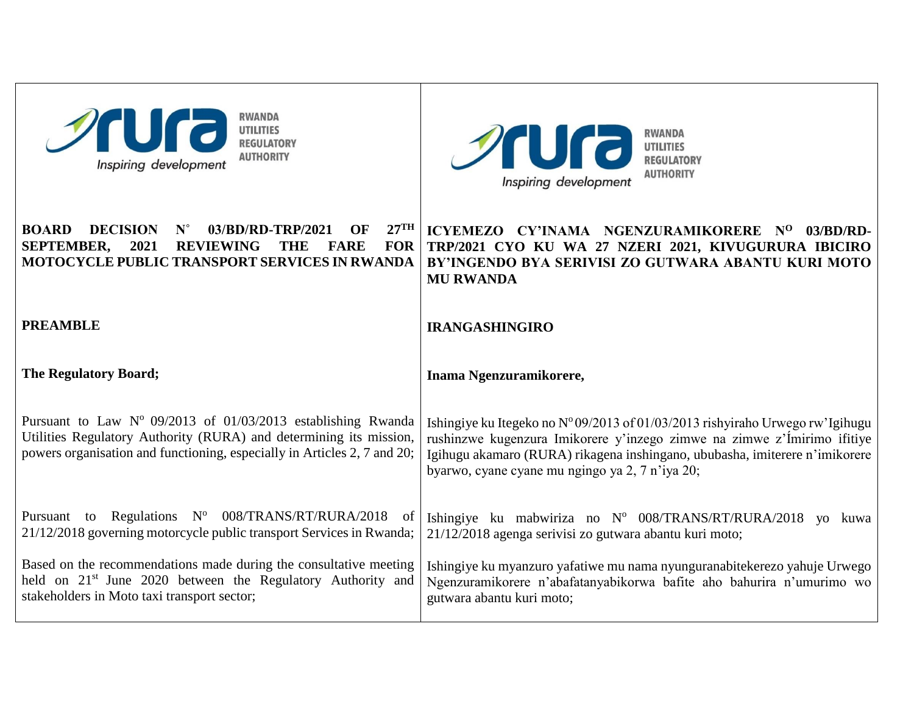| <b>RWANDA</b><br><b>Sura</b><br><b>UTILITIES</b><br><b>REGULATORY</b><br><b>AUTHORITY</b><br>Inspiring development                                                                                                                                | <b>RWANDA</b><br><b>Sura</b><br><b>UTILITIES</b><br><b>REGULATORY</b><br><b>AUTHORITY</b><br>Inspiring development                                                                                                                                                                         |
|---------------------------------------------------------------------------------------------------------------------------------------------------------------------------------------------------------------------------------------------------|--------------------------------------------------------------------------------------------------------------------------------------------------------------------------------------------------------------------------------------------------------------------------------------------|
| $27^{\text{TH}}$<br><b>BOARD</b><br><b>DECISION</b><br>$N^{\circ}$<br>03/BD/RD-TRP/2021<br>OF<br><b>SEPTEMBER,</b><br>2021<br><b>REVIEWING</b><br><b>THE</b><br><b>FARE</b><br><b>FOR</b><br><b>MOTOCYCLE PUBLIC TRANSPORT SERVICES IN RWANDA</b> | ICYEMEZO CY'INAMA NGENZURAMIKORERE Nº 03/BD/RD-<br>TRP/2021 CYO KU WA 27 NZERI 2021, KIVUGURURA IBICIRO<br>BY'INGENDO BYA SERIVISI ZO GUTWARA ABANTU KURI MOTO<br><b>MU RWANDA</b>                                                                                                         |
| <b>PREAMBLE</b>                                                                                                                                                                                                                                   | <b>IRANGASHINGIRO</b>                                                                                                                                                                                                                                                                      |
|                                                                                                                                                                                                                                                   |                                                                                                                                                                                                                                                                                            |
| <b>The Regulatory Board;</b>                                                                                                                                                                                                                      | Inama Ngenzuramikorere,                                                                                                                                                                                                                                                                    |
| Pursuant to Law $N^{\circ}$ 09/2013 of 01/03/2013 establishing Rwanda<br>Utilities Regulatory Authority (RURA) and determining its mission,<br>powers organisation and functioning, especially in Articles 2, 7 and 20;                           | Ishingiye ku Itegeko no N° 09/2013 of 01/03/2013 rishyiraho Urwego rw'Igihugu<br>rushinzwe kugenzura Imikorere y'inzego zimwe na zimwe z'Ímirimo ifitiye<br>Igihugu akamaro (RURA) rikagena inshingano, ububasha, imiterere n'imikorere<br>byarwo, cyane cyane mu ngingo ya 2, 7 n'iya 20; |
| Pursuant to Regulations N° 008/TRANS/RT/RURA/2018<br>of<br>21/12/2018 governing motorcycle public transport Services in Rwanda;                                                                                                                   | Ishingiye ku mabwiriza no $N^{\circ}$ 008/TRANS/RT/RURA/2018 yo kuwa<br>21/12/2018 agenga serivisi zo gutwara abantu kuri moto;                                                                                                                                                            |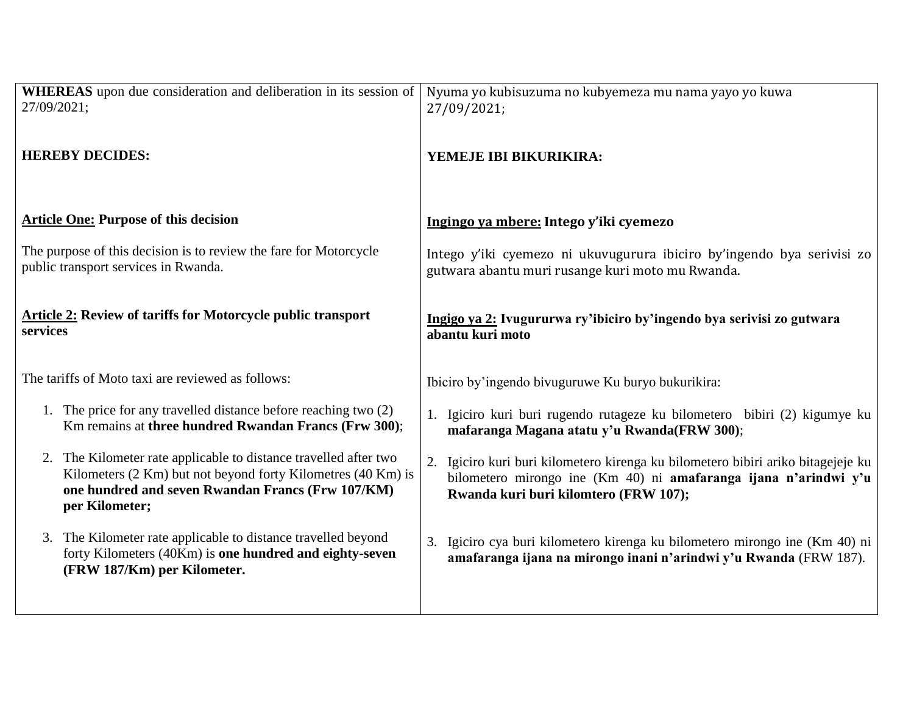| WHEREAS upon due consideration and deliberation in its session of                                                                                       | Nyuma yo kubisuzuma no kubyemeza mu nama yayo yo kuwa                                                                                            |
|---------------------------------------------------------------------------------------------------------------------------------------------------------|--------------------------------------------------------------------------------------------------------------------------------------------------|
| 27/09/2021;                                                                                                                                             | 27/09/2021;                                                                                                                                      |
| <b>HEREBY DECIDES:</b>                                                                                                                                  | YEMEJE IBI BIKURIKIRA:                                                                                                                           |
| <b>Article One: Purpose of this decision</b>                                                                                                            | Ingingo va mbere: Intego y'iki cyemezo                                                                                                           |
| The purpose of this decision is to review the fare for Motorcycle                                                                                       | Intego y'iki cyemezo ni ukuvugurura ibiciro by'ingendo bya serivisi zo                                                                           |
| public transport services in Rwanda.                                                                                                                    | gutwara abantu muri rusange kuri moto mu Rwanda.                                                                                                 |
| <b>Article 2: Review of tariffs for Motorcycle public transport</b>                                                                                     | Ingigo ya 2: Ivugururwa ry'ibiciro by'ingendo bya serivisi zo gutwara                                                                            |
| services                                                                                                                                                | abantu kuri moto                                                                                                                                 |
| The tariffs of Moto taxi are reviewed as follows:                                                                                                       | Ibiciro by'ingendo bivuguruwe Ku buryo bukurikira:                                                                                               |
| 1. The price for any travelled distance before reaching two (2)                                                                                         | 1. Igiciro kuri buri rugendo rutageze ku bilometero bibiri (2) kigumye ku                                                                        |
| Km remains at three hundred Rwandan Francs (Frw 300);                                                                                                   | mafaranga Magana atatu y'u Rwanda(FRW 300);                                                                                                      |
| 2. The Kilometer rate applicable to distance travelled after two                                                                                        | 2.                                                                                                                                               |
| Kilometers (2 Km) but not beyond forty Kilometres (40 Km) is                                                                                            | Igiciro kuri buri kilometero kirenga ku bilometero bibiri ariko bitagejeje ku                                                                    |
| one hundred and seven Rwandan Francs (Frw 107/KM)                                                                                                       | bilometero mirongo ine (Km 40) ni amafaranga ijana n'arindwi y'u                                                                                 |
| per Kilometer;                                                                                                                                          | Rwanda kuri buri kilomtero (FRW 107);                                                                                                            |
| 3. The Kilometer rate applicable to distance travelled beyond<br>forty Kilometers (40Km) is one hundred and eighty-seven<br>(FRW 187/Km) per Kilometer. | 3. Igiciro cya buri kilometero kirenga ku bilometero mirongo ine (Km 40) ni<br>amafaranga ijana na mirongo inani n'arindwi y'u Rwanda (FRW 187). |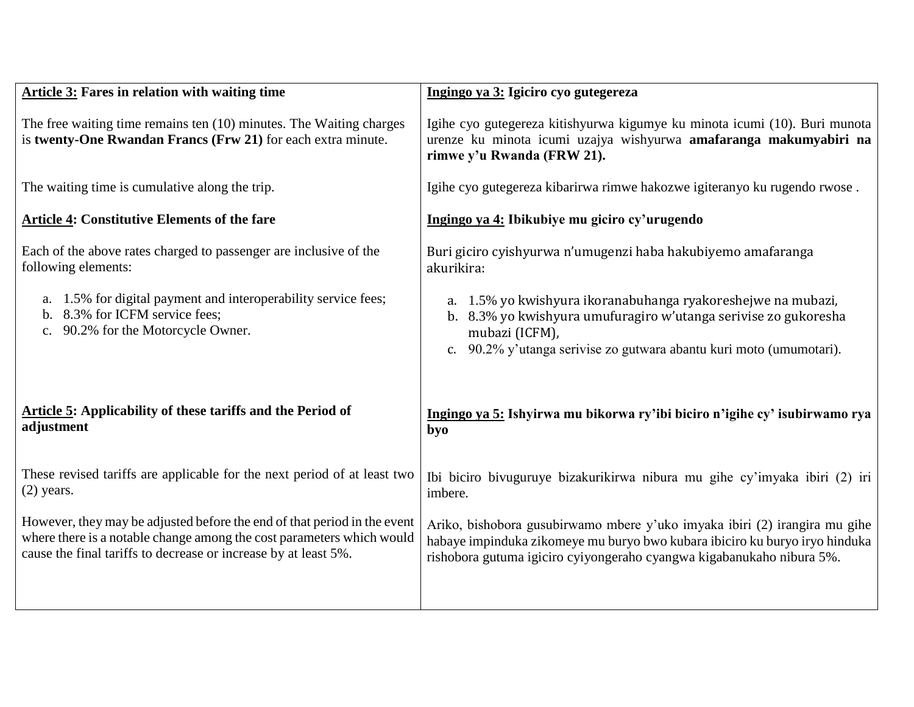| <b>Article 3: Fares in relation with waiting time</b>                                                                               | Ingingo ya 3: Igiciro cyo gutegereza                                                                                                                                          |
|-------------------------------------------------------------------------------------------------------------------------------------|-------------------------------------------------------------------------------------------------------------------------------------------------------------------------------|
| The free waiting time remains ten (10) minutes. The Waiting charges<br>is twenty-One Rwandan Francs (Frw 21) for each extra minute. | Igihe cyo gutegereza kitishyurwa kigumye ku minota icumi (10). Buri munota<br>urenze ku minota icumi uzajya wishyurwa amafaranga makumyabiri na<br>rimwe y'u Rwanda (FRW 21). |
| The waiting time is cumulative along the trip.                                                                                      | Igihe cyo gutegereza kibarirwa rimwe hakozwe igiteranyo ku rugendo rwose.                                                                                                     |
| <b>Article 4: Constitutive Elements of the fare</b>                                                                                 | Ingingo ya 4: Ibikubiye mu giciro cy'urugendo                                                                                                                                 |
| Each of the above rates charged to passenger are inclusive of the                                                                   | Buri giciro cyishyurwa n'umugenzi haba hakubiyemo amafaranga                                                                                                                  |
| following elements:                                                                                                                 | akurikira:                                                                                                                                                                    |
| 1.5% for digital payment and interoperability service fees;                                                                         | a. 1.5% yo kwishyura ikoranabuhanga ryakoreshejwe na mubazi,                                                                                                                  |
| a.                                                                                                                                  | b. 8.3% yo kwishyura umufuragiro w'utanga serivise zo gukoresha                                                                                                               |
| b. 8.3% for ICFM service fees;                                                                                                      | mubazi (ICFM),                                                                                                                                                                |
| 90.2% for the Motorcycle Owner.                                                                                                     | c. 90.2% y'utanga serivise zo gutwara abantu kuri moto (umumotari).                                                                                                           |
| Article 5: Applicability of these tariffs and the Period of                                                                         | Ingingo ya 5: Ishyirwa mu bikorwa ry'ibi biciro n'igihe cy' isubirwamo rya                                                                                                    |
| adjustment                                                                                                                          | byo                                                                                                                                                                           |
| These revised tariffs are applicable for the next period of at least two                                                            | Ibi biciro bivuguruye bizakurikirwa nibura mu gihe cy'imyaka ibiri (2) iri                                                                                                    |
| $(2)$ years.                                                                                                                        | imbere.                                                                                                                                                                       |
| However, they may be adjusted before the end of that period in the event                                                            | Ariko, bishobora gusubirwamo mbere y'uko imyaka ibiri (2) irangira mu gihe                                                                                                    |
| where there is a notable change among the cost parameters which would                                                               | habaye impinduka zikomeye mu buryo bwo kubara ibiciro ku buryo iryo hinduka                                                                                                   |
| cause the final tariffs to decrease or increase by at least 5%.                                                                     | rishobora gutuma igiciro cyiyongeraho cyangwa kigabanukaho nibura 5%.                                                                                                         |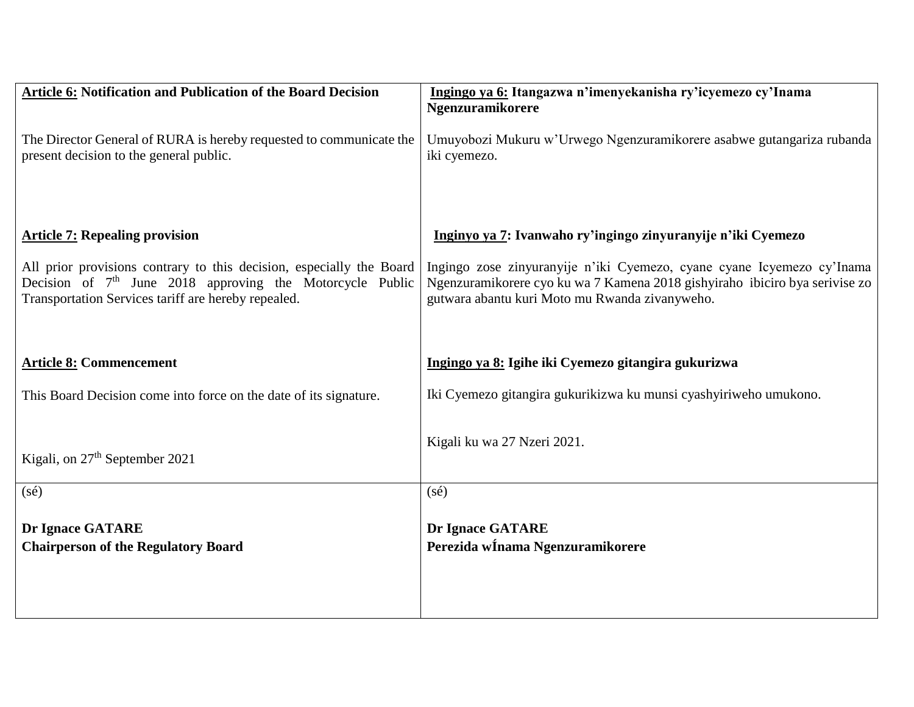| Ingingo ya 6: Itangazwa n'imenyekanisha ry'icyemezo cy'Inama                                                                                                                                 |
|----------------------------------------------------------------------------------------------------------------------------------------------------------------------------------------------|
| Ngenzuramikorere                                                                                                                                                                             |
| Umuyobozi Mukuru w'Urwego Ngenzuramikorere asabwe gutangariza rubanda<br>The Director General of RURA is hereby requested to communicate the                                                 |
| iki cyemezo.                                                                                                                                                                                 |
|                                                                                                                                                                                              |
|                                                                                                                                                                                              |
| Inginyo ya 7: Ivanwaho ry'ingingo zinyuranyije n'iki Cyemezo                                                                                                                                 |
| All prior provisions contrary to this decision, especially the Board<br>Ingingo zose zinyuranyije n'iki Cyemezo, cyane cyane Icyemezo cy'Inama                                               |
| Decision of $7th$ June 2018 approving the Motorcycle Public<br>Ngenzuramikorere cyo ku wa 7 Kamena 2018 gishyiraho ibiciro bya serivise zo<br>gutwara abantu kuri Moto mu Rwanda zivanyweho. |
|                                                                                                                                                                                              |
|                                                                                                                                                                                              |
| Ingingo ya 8: Igihe iki Cyemezo gitangira gukurizwa                                                                                                                                          |
| Iki Cyemezo gitangira gukurikizwa ku munsi cyashyiriweho umukono.                                                                                                                            |
|                                                                                                                                                                                              |
| Kigali ku wa 27 Nzeri 2021.                                                                                                                                                                  |
|                                                                                                                                                                                              |
| $(s\acute{e})$                                                                                                                                                                               |
|                                                                                                                                                                                              |
| <b>Dr Ignace GATARE</b>                                                                                                                                                                      |
| Perezida winama Ngenzuramikorere                                                                                                                                                             |
|                                                                                                                                                                                              |
|                                                                                                                                                                                              |
|                                                                                                                                                                                              |